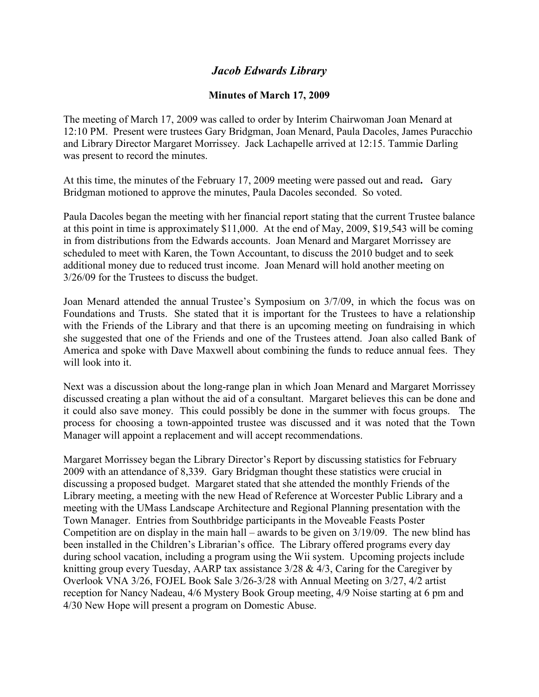## *Jacob Edwards Library*

## **Minutes of March 17, 2009**

The meeting of March 17, 2009 was called to order by Interim Chairwoman Joan Menard at 12:10 PM. Present were trustees Gary Bridgman, Joan Menard, Paula Dacoles, James Puracchio and Library Director Margaret Morrissey. Jack Lachapelle arrived at 12:15. Tammie Darling was present to record the minutes.

At this time, the minutes of the February 17, 2009 meeting were passed out and read**.** Gary Bridgman motioned to approve the minutes, Paula Dacoles seconded. So voted.

Paula Dacoles began the meeting with her financial report stating that the current Trustee balance at this point in time is approximately \$11,000. At the end of May, 2009, \$19,543 will be coming in from distributions from the Edwards accounts. Joan Menard and Margaret Morrissey are scheduled to meet with Karen, the Town Accountant, to discuss the 2010 budget and to seek additional money due to reduced trust income. Joan Menard will hold another meeting on 3/26/09 for the Trustees to discuss the budget.

Joan Menard attended the annual Trustee's Symposium on 3/7/09, in which the focus was on Foundations and Trusts. She stated that it is important for the Trustees to have a relationship with the Friends of the Library and that there is an upcoming meeting on fundraising in which she suggested that one of the Friends and one of the Trustees attend. Joan also called Bank of America and spoke with Dave Maxwell about combining the funds to reduce annual fees. They will look into it.

Next was a discussion about the long-range plan in which Joan Menard and Margaret Morrissey discussed creating a plan without the aid of a consultant. Margaret believes this can be done and it could also save money. This could possibly be done in the summer with focus groups. The process for choosing a town-appointed trustee was discussed and it was noted that the Town Manager will appoint a replacement and will accept recommendations.

Margaret Morrissey began the Library Director's Report by discussing statistics for February 2009 with an attendance of 8,339. Gary Bridgman thought these statistics were crucial in discussing a proposed budget. Margaret stated that she attended the monthly Friends of the Library meeting, a meeting with the new Head of Reference at Worcester Public Library and a meeting with the UMass Landscape Architecture and Regional Planning presentation with the Town Manager. Entries from Southbridge participants in the Moveable Feasts Poster Competition are on display in the main hall – awards to be given on 3/19/09. The new blind has been installed in the Children's Librarian's office. The Library offered programs every day during school vacation, including a program using the Wii system. Upcoming projects include knitting group every Tuesday, AARP tax assistance  $3/28 \& 4/3$ , Caring for the Caregiver by Overlook VNA 3/26, FOJEL Book Sale 3/26-3/28 with Annual Meeting on 3/27, 4/2 artist reception for Nancy Nadeau, 4/6 Mystery Book Group meeting, 4/9 Noise starting at 6 pm and 4/30 New Hope will present a program on Domestic Abuse.